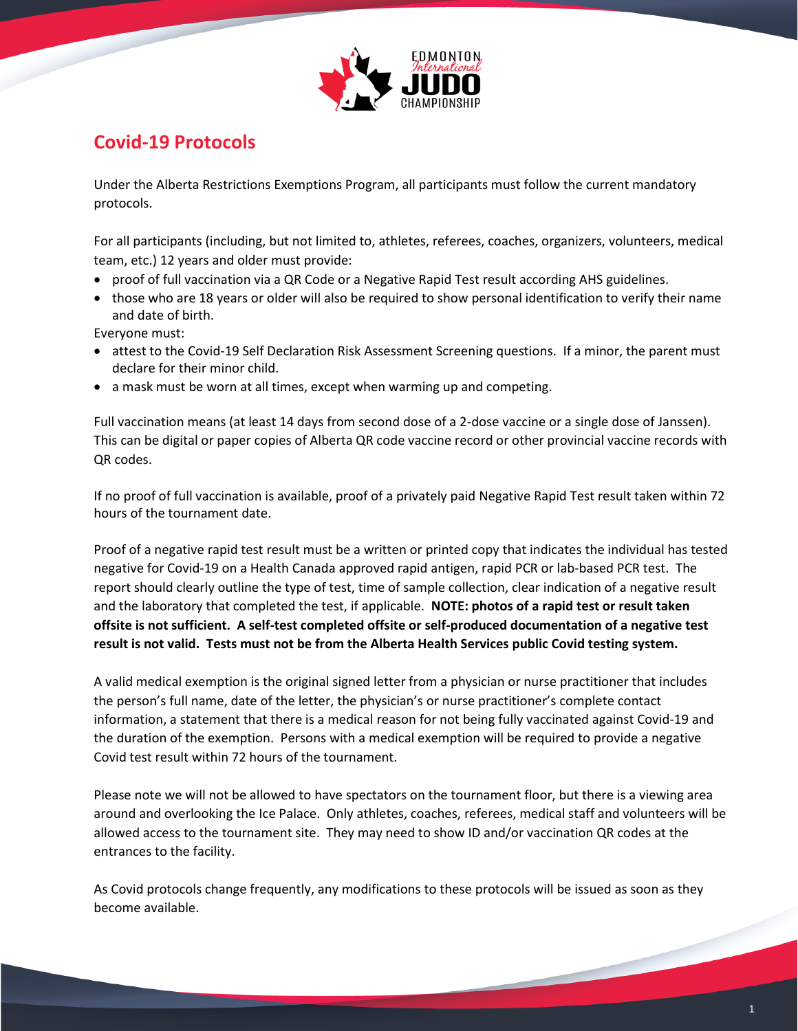

## **Covid-19 Protocols**

Under the Alberta Restrictions Exemptions Program, all participants must follow the current mandatory protocols.

For all participants (including, but not limited to, athletes, referees, coaches, organizers, volunteers, medical team, etc.) 12 years and older must provide:

- proof of full vaccination via a QR Code or a Negative Rapid Test result according AHS guidelines.
- those who are 18 years or older will also be required to show personal identification to verify their name and date of birth.

Everyone must:

- attest to the Covid-19 Self Declaration Risk Assessment Screening questions. If a minor, the parent must declare for their minor child.
- a mask must be worn at all times, except when warming up and competing.

Full vaccination means (at least 14 days from second dose of a 2-dose vaccine or a single dose of Janssen). This can be digital or paper copies of Alberta QR code vaccine record or other provincial vaccine records with QR codes.

If no proof of full vaccination is available, proof of a privately paid Negative Rapid Test result taken within 72 hours of the tournament date.

Proof of a negative rapid test result must be a written or printed copy that indicates the individual has tested negative for Covid-19 on a Health Canada approved rapid antigen, rapid PCR or lab-based PCR test. The report should clearly outline the type of test, time of sample collection, clear indication of a negative result and the laboratory that completed the test, if applicable. **NOTE: photos of a rapid test or result taken offsite is not sufficient. A self-test completed offsite or self-produced documentation of a negative test result is not valid. Tests must not be from the Alberta Health Services public Covid testing system.**

A valid medical exemption is the original signed letter from a physician or nurse practitioner that includes the person's full name, date of the letter, the physician's or nurse practitioner's complete contact information, a statement that there is a medical reason for not being fully vaccinated against Covid-19 and the duration of the exemption. Persons with a medical exemption will be required to provide a negative Covid test result within 72 hours of the tournament.

Please note we will not be allowed to have spectators on the tournament floor, but there is a viewing area around and overlooking the Ice Palace. Only athletes, coaches, referees, medical staff and volunteers will be allowed access to the tournament site. They may need to show ID and/or vaccination QR codes at the entrances to the facility.

As Covid protocols change frequently, any modifications to these protocols will be issued as soon as they become available.